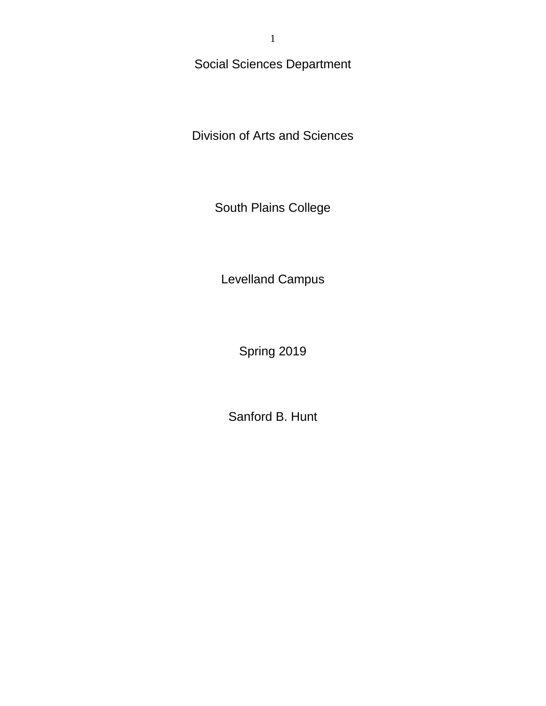Social Sciences Department

Division of Arts and Sciences

South Plains College

Levelland Campus

Spring 2019

Sanford B. Hunt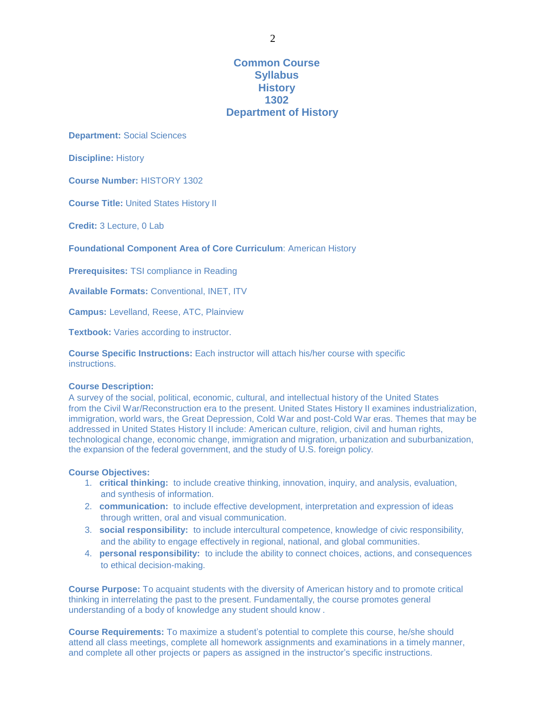**Common Course Syllabus History 1302 Department of History**

**Department:** Social Sciences

**Discipline:** History

**Course Number:** HISTORY 1302

**Course Title:** United States History II

**Credit:** 3 Lecture, 0 Lab

**Foundational Component Area of Core Curriculum**: American History

**Prerequisites:** TSI compliance in Reading

**Available Formats:** Conventional, INET, ITV

**Campus:** Levelland, Reese, ATC, Plainview

**Textbook:** Varies according to instructor.

**Course Specific Instructions:** Each instructor will attach his/her course with specific instructions.

#### **Course Description:**

A survey of the social, political, economic, cultural, and intellectual history of the United States from the Civil War/Reconstruction era to the present. United States History II examines industrialization, immigration, world wars, the Great Depression, Cold War and post-Cold War eras. Themes that may be addressed in United States History II include: American culture, religion, civil and human rights, technological change, economic change, immigration and migration, urbanization and suburbanization, the expansion of the federal government, and the study of U.S. foreign policy.

### **Course Objectives:**

- 1. **critical thinking:** to include creative thinking, innovation, inquiry, and analysis, evaluation, and synthesis of information.
- 2. **communication:** to include effective development, interpretation and expression of ideas through written, oral and visual communication.
- 3. **social responsibility:** to include intercultural competence, knowledge of civic responsibility, and the ability to engage effectively in regional, national, and global communities.
- 4. **personal responsibility:** to include the ability to connect choices, actions, and consequences to ethical decision-making.

**Course Purpose:** To acquaint students with the diversity of American history and to promote critical thinking in interrelating the past to the present. Fundamentally, the course promotes general understanding of a body of knowledge any student should know .

**Course Requirements:** To maximize a student's potential to complete this course, he/she should attend all class meetings, complete all homework assignments and examinations in a timely manner, and complete all other projects or papers as assigned in the instructor's specific instructions.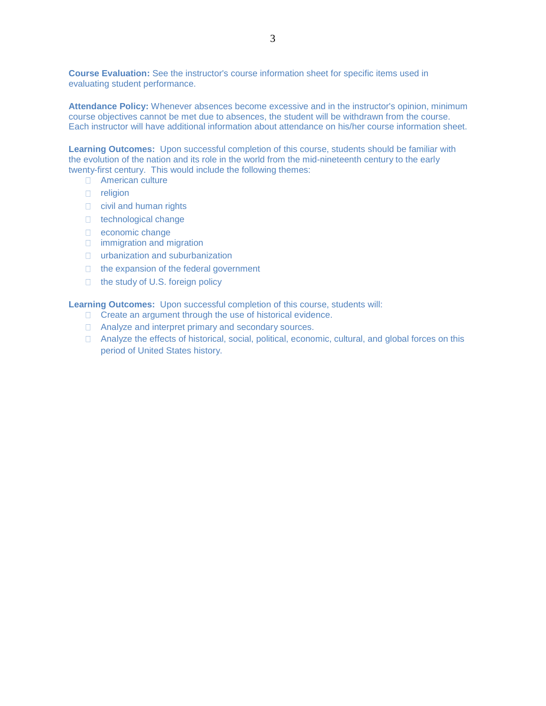**Course Evaluation:** See the instructor's course information sheet for specific items used in evaluating student performance.

**Attendance Policy:** Whenever absences become excessive and in the instructor's opinion, minimum course objectives cannot be met due to absences, the student will be withdrawn from the course. Each instructor will have additional information about attendance on his/her course information sheet.

**Learning Outcomes:** Upon successful completion of this course, students should be familiar with the evolution of the nation and its role in the world from the mid-nineteenth century to the early twenty-first century. This would include the following themes:

- □ American culture
- **n** religion
- civil and human rights
- □ technological change
- □ economic change
- **immigration and migration**
- urbanization and suburbanization
- $\Box$  the expansion of the federal government
- □ the study of U.S. foreign policy

**Learning Outcomes:** Upon successful completion of this course, students will:

- □ Create an argument through the use of historical evidence.
- □ Analyze and interpret primary and secondary sources.
- □ Analyze the effects of historical, social, political, economic, cultural, and global forces on this period of United States history.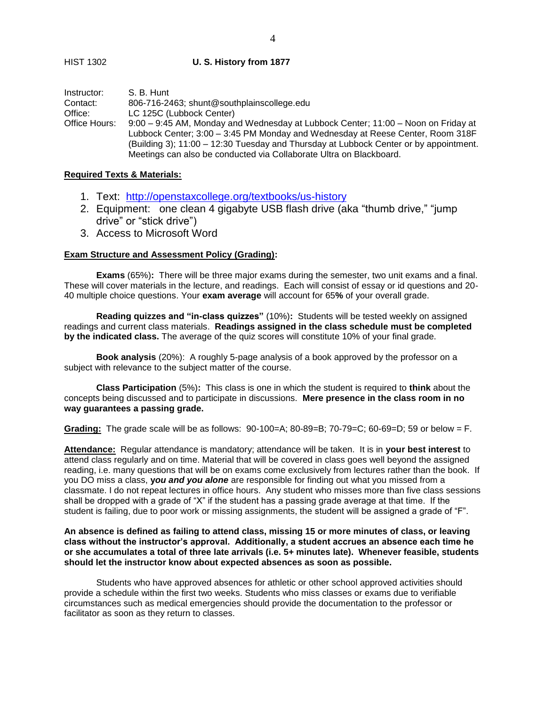### HIST 1302 **U. S. History from 1877**

| Instructor:   | S. B. Hunt                                                                            |  |  |  |
|---------------|---------------------------------------------------------------------------------------|--|--|--|
| Contact:      | 806-716-2463; shunt@southplainscollege.edu                                            |  |  |  |
| Office:       | LC 125C (Lubbock Center)                                                              |  |  |  |
| Office Hours: | 9:00 – 9:45 AM, Monday and Wednesday at Lubbock Center; 11:00 – Noon on Friday at     |  |  |  |
|               | Lubbock Center; 3:00 – 3:45 PM Monday and Wednesday at Reese Center, Room 318F        |  |  |  |
|               | (Building 3); 11:00 – 12:30 Tuesday and Thursday at Lubbock Center or by appointment. |  |  |  |

Meetings can also be conducted via Collaborate Ultra on Blackboard.

#### **Required Texts & Materials:**

- 1. Text: <http://openstaxcollege.org/textbooks/us-history>
- 2. Equipment: one clean 4 gigabyte USB flash drive (aka "thumb drive," "jump drive" or "stick drive")
- 3. Access to Microsoft Word

## **Exam Structure and Assessment Policy (Grading):**

**Exams** (65%)**:** There will be three major exams during the semester, two unit exams and a final. These will cover materials in the lecture, and readings. Each will consist of essay or id questions and 20- 40 multiple choice questions. Your **exam average** will account for 65**%** of your overall grade.

**Reading quizzes and "in-class quizzes"** (10%)**:** Students will be tested weekly on assigned readings and current class materials. **Readings assigned in the class schedule must be completed by the indicated class.** The average of the quiz scores will constitute 10% of your final grade.

**Book analysis** (20%): A roughly 5-page analysis of a book approved by the professor on a subject with relevance to the subject matter of the course.

**Class Participation** (5%)**:** This class is one in which the student is required to **think** about the concepts being discussed and to participate in discussions. **Mere presence in the class room in no way guarantees a passing grade.**

**Grading:** The grade scale will be as follows: 90-100=A; 80-89=B; 70-79=C; 60-69=D; 59 or below = F.

**Attendance:** Regular attendance is mandatory; attendance will be taken. It is in **your best interest** to attend class regularly and on time. Material that will be covered in class goes well beyond the assigned reading, i.e. many questions that will be on exams come exclusively from lectures rather than the book. If you DO miss a class, **y***ou and you alone* are responsible for finding out what you missed from a classmate. I do not repeat lectures in office hours. Any student who misses more than five class sessions shall be dropped with a grade of "X" if the student has a passing grade average at that time. If the student is failing, due to poor work or missing assignments, the student will be assigned a grade of "F".

**An absence is defined as failing to attend class, missing 15 or more minutes of class, or leaving class without the instructor's approval. Additionally, a student accrues an absence each time he or she accumulates a total of three late arrivals (i.e. 5+ minutes late). Whenever feasible, students should let the instructor know about expected absences as soon as possible.**

Students who have approved absences for athletic or other school approved activities should provide a schedule within the first two weeks. Students who miss classes or exams due to verifiable circumstances such as medical emergencies should provide the documentation to the professor or facilitator as soon as they return to classes.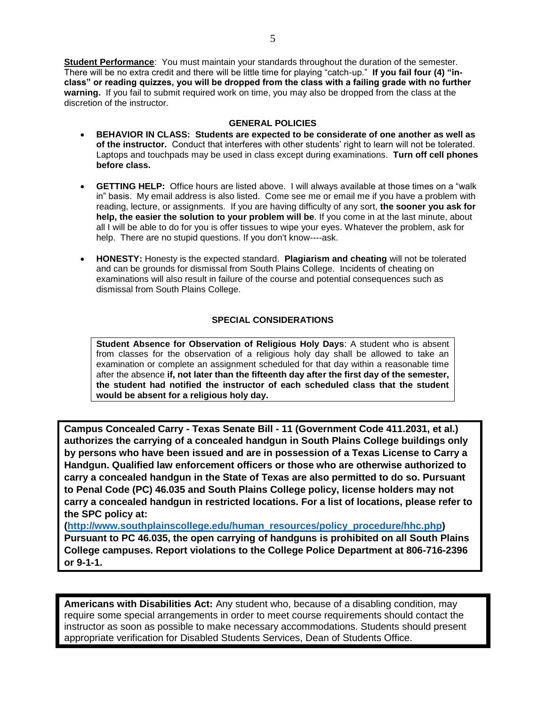5

**Student Performance**: You must maintain your standards throughout the duration of the semester. There will be no extra credit and there will be little time for playing "catch-up." **If you fail four (4) "inclass" or reading quizzes, you will be dropped from the class with a failing grade with no further warning.** If you fail to submit required work on time, you may also be dropped from the class at the discretion of the instructor.

## **GENERAL POLICIES**

- **BEHAVIOR IN CLASS: Students are expected to be considerate of one another as well as of the instructor.** Conduct that interferes with other students' right to learn will not be tolerated. Laptops and touchpads may be used in class except during examinations. **Turn off cell phones before class.**
- **GETTING HELP:** Office hours are listed above. I will always available at those times on a "walk in" basis. My email address is also listed. Come see me or email me if you have a problem with reading, lecture, or assignments. If you are having difficulty of any sort, **the sooner you ask for help, the easier the solution to your problem will be**. If you come in at the last minute, about all I will be able to do for you is offer tissues to wipe your eyes. Whatever the problem, ask for help. There are no stupid questions. If you don't know----ask.
- **HONESTY:** Honesty is the expected standard. **Plagiarism and cheating** will not be tolerated and can be grounds for dismissal from South Plains College. Incidents of cheating on examinations will also result in failure of the course and potential consequences such as dismissal from South Plains College.

## **SPECIAL CONSIDERATIONS**

**Student Absence for Observation of Religious Holy Days**: A student who is absent from classes for the observation of a religious holy day shall be allowed to take an examination or complete an assignment scheduled for that day within a reasonable time after the absence **if, not later than the fifteenth day after the first day of the semester, the student had notified the instructor of each scheduled class that the student would be absent for a religious holy day.**

**Campus Concealed Carry - Texas Senate Bill - 11 (Government Code 411.2031, et al.) authorizes the carrying of a concealed handgun in South Plains College buildings only by persons who have been issued and are in possession of a Texas License to Carry a Handgun. Qualified law enforcement officers or those who are otherwise authorized to carry a concealed handgun in the State of Texas are also permitted to do so. Pursuant to Penal Code (PC) 46.035 and South Plains College policy, license holders may not carry a concealed handgun in restricted locations. For a list of locations, please refer to the SPC policy at:** 

**[\(http://www.southplainscollege.edu/human\\_resources/policy\\_procedure/hhc.php\)](http://www.southplainscollege.edu/human_resources/policy_procedure/hhc.php) Pursuant to PC 46.035, the open carrying of handguns is prohibited on all South Plains College campuses. Report violations to the College Police Department at 806-716-2396 or 9-1-1.**

**Americans with Disabilities Act:** Any student who, because of a disabling condition, may require some special arrangements in order to meet course requirements should contact the instructor as soon as possible to make necessary accommodations. Students should present appropriate verification for Disabled Students Services, Dean of Students Office.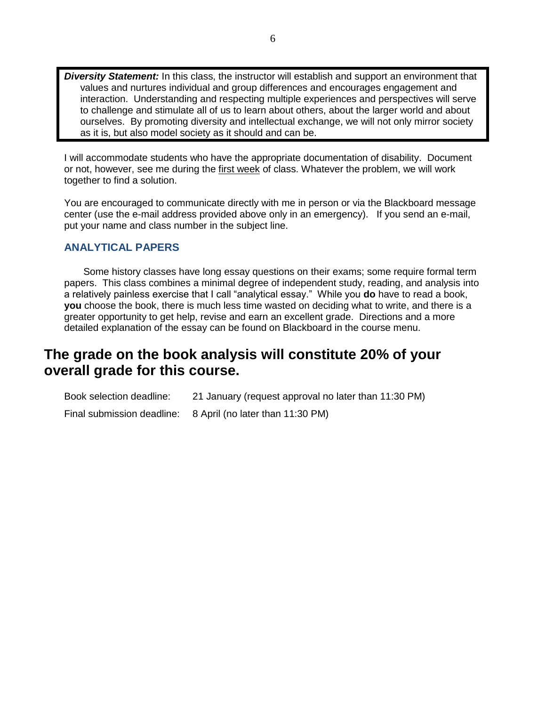*Diversity Statement:* In this class, the instructor will establish and support an environment that values and nurtures individual and group differences and encourages engagement and interaction. Understanding and respecting multiple experiences and perspectives will serve to challenge and stimulate all of us to learn about others, about the larger world and about ourselves. By promoting diversity and intellectual exchange, we will not only mirror society as it is, but also model society as it should and can be.

I will accommodate students who have the appropriate documentation of disability. Document or not, however, see me during the first week of class. Whatever the problem, we will work together to find a solution.

You are encouraged to communicate directly with me in person or via the Blackboard message center (use the e-mail address provided above only in an emergency). If you send an e-mail, put your name and class number in the subject line.

## **ANALYTICAL PAPERS**

Some history classes have long essay questions on their exams; some require formal term papers. This class combines a minimal degree of independent study, reading, and analysis into a relatively painless exercise that I call "analytical essay." While you **do** have to read a book, **you** choose the book, there is much less time wasted on deciding what to write, and there is a greater opportunity to get help, revise and earn an excellent grade. Directions and a more detailed explanation of the essay can be found on Blackboard in the course menu.

# **The grade on the book analysis will constitute 20% of your overall grade for this course.**

| Book selection deadline: | 21 January (request approval no later than 11:30 PM)        |
|--------------------------|-------------------------------------------------------------|
|                          | Final submission deadline: 8 April (no later than 11:30 PM) |